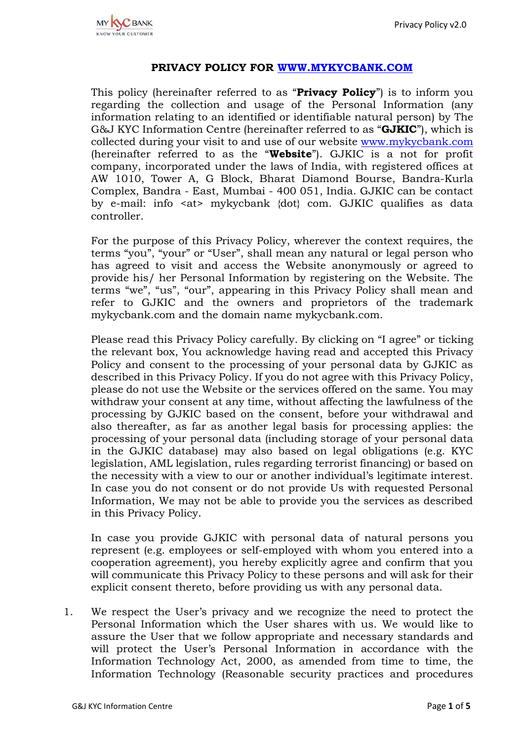## **PRIVACY POLICY FOR [WWW.MYKYCBANK.COM](http://www.mykycbank.com/)**

This policy (hereinafter referred to as "**Privacy Policy**") is to inform you regarding the collection and usage of the Personal Information (any information relating to an identified or identifiable natural person) by The G&J KYC Information Centre (hereinafter referred to as "**GJKIC**"), which is collected during your visit to and use of our website [www.mykycbank.com](http://www.mykycbank.com/) (hereinafter referred to as the "**Website**"). GJKIC is a not for profit company, incorporated under the laws of India, with registered offices at AW 1010, Tower A, G Block, Bharat Diamond Bourse, Bandra-Kurla Complex, Bandra - East, Mumbai - 400 051, India. GJKIC can be contact by e-mail: info <at> mykycbank {dot} com. GJKIC qualifies as data controller.

For the purpose of this Privacy Policy, wherever the context requires, the terms "you", "your" or "User", shall mean any natural or legal person who has agreed to visit and access the Website anonymously or agreed to provide his/ her Personal Information by registering on the Website. The terms "we", "us", "our", appearing in this Privacy Policy shall mean and refer to GJKIC and the owners and proprietors of the trademark mykycbank.com and the domain name mykycbank.com.

Please read this Privacy Policy carefully. By clicking on "I agree" or ticking the relevant box, You acknowledge having read and accepted this Privacy Policy and consent to the processing of your personal data by GJKIC as described in this Privacy Policy. If you do not agree with this Privacy Policy, please do not use the Website or the services offered on the same. You may withdraw your consent at any time, without affecting the lawfulness of the processing by GJKIC based on the consent, before your withdrawal and also thereafter, as far as another legal basis for processing applies: the processing of your personal data (including storage of your personal data in the GJKIC database) may also based on legal obligations (e.g. KYC legislation, AML legislation, rules regarding terrorist financing) or based on the necessity with a view to our or another individual's legitimate interest. In case you do not consent or do not provide Us with requested Personal Information, We may not be able to provide you the services as described in this Privacy Policy.

In case you provide GJKIC with personal data of natural persons you represent (e.g. employees or self-employed with whom you entered into a cooperation agreement), you hereby explicitly agree and confirm that you will communicate this Privacy Policy to these persons and will ask for their explicit consent thereto, before providing us with any personal data.

1. We respect the User's privacy and we recognize the need to protect the Personal Information which the User shares with us. We would like to assure the User that we follow appropriate and necessary standards and will protect the User's Personal Information in accordance with the Information Technology Act, 2000, as amended from time to time, the Information Technology (Reasonable security practices and procedures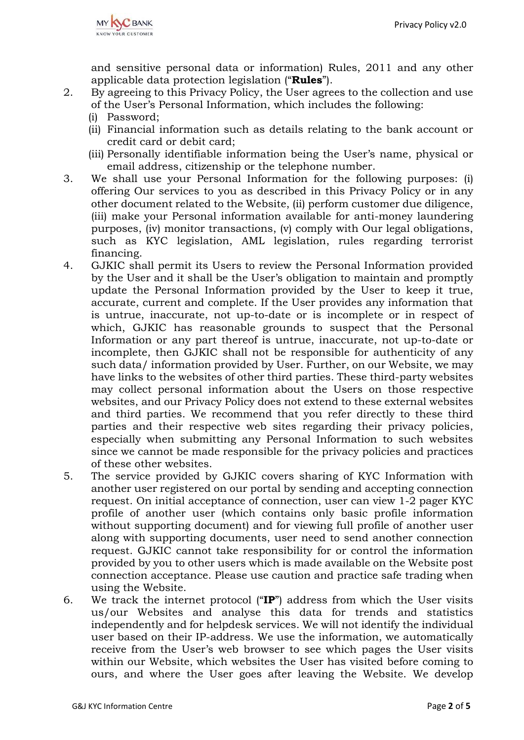and sensitive personal data or information) Rules, 2011 and any other applicable data protection legislation ("**Rules**").

- 2. By agreeing to this Privacy Policy, the User agrees to the collection and use of the User's Personal Information, which includes the following:
	- (i) Password;
	- (ii) Financial information such as details relating to the bank account or credit card or debit card;
	- (iii) Personally identifiable information being the User's name, physical or email address, citizenship or the telephone number.
- 3. We shall use your Personal Information for the following purposes: (i) offering Our services to you as described in this Privacy Policy or in any other document related to the Website, (ii) perform customer due diligence, (iii) make your Personal information available for anti-money laundering purposes, (iv) monitor transactions, (v) comply with Our legal obligations, such as KYC legislation, AML legislation, rules regarding terrorist financing.
- 4. GJKIC shall permit its Users to review the Personal Information provided by the User and it shall be the User's obligation to maintain and promptly update the Personal Information provided by the User to keep it true, accurate, current and complete. If the User provides any information that is untrue, inaccurate, not up-to-date or is incomplete or in respect of which, GJKIC has reasonable grounds to suspect that the Personal Information or any part thereof is untrue, inaccurate, not up-to-date or incomplete, then GJKIC shall not be responsible for authenticity of any such data/ information provided by User. Further, on our Website, we may have links to the websites of other third parties. These third-party websites may collect personal information about the Users on those respective websites, and our Privacy Policy does not extend to these external websites and third parties. We recommend that you refer directly to these third parties and their respective web sites regarding their privacy policies, especially when submitting any Personal Information to such websites since we cannot be made responsible for the privacy policies and practices of these other websites.
- 5. The service provided by GJKIC covers sharing of KYC Information with another user registered on our portal by sending and accepting connection request. On initial acceptance of connection, user can view 1-2 pager KYC profile of another user (which contains only basic profile information without supporting document) and for viewing full profile of another user along with supporting documents, user need to send another connection request. GJKIC cannot take responsibility for or control the information provided by you to other users which is made available on the Website post connection acceptance. Please use caution and practice safe trading when using the Website.
- 6. We track the internet protocol ("**IP**") address from which the User visits us/our Websites and analyse this data for trends and statistics independently and for helpdesk services. We will not identify the individual user based on their IP-address. We use the information, we automatically receive from the User's web browser to see which pages the User visits within our Website, which websites the User has visited before coming to ours, and where the User goes after leaving the Website. We develop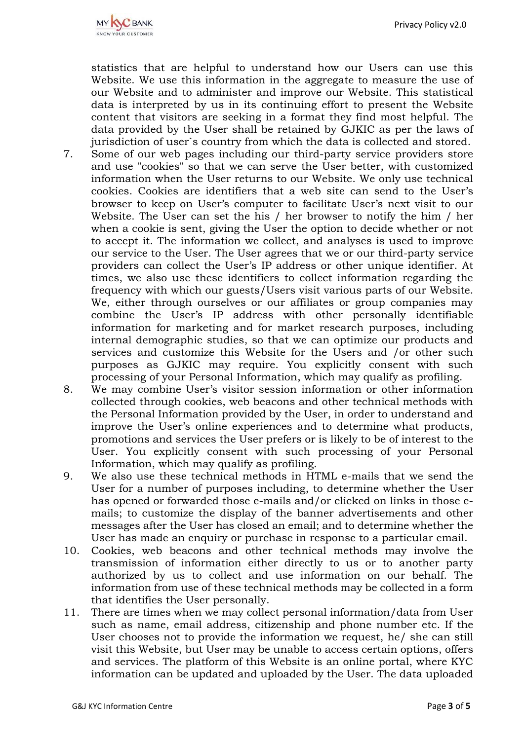statistics that are helpful to understand how our Users can use this Website. We use this information in the aggregate to measure the use of our Website and to administer and improve our Website. This statistical data is interpreted by us in its continuing effort to present the Website content that visitors are seeking in a format they find most helpful. The data provided by the User shall be retained by GJKIC as per the laws of jurisdiction of user`s country from which the data is collected and stored.

- 7. Some of our web pages including our third-party service providers store and use "cookies" so that we can serve the User better, with customized information when the User returns to our Website. We only use technical cookies. Cookies are identifiers that a web site can send to the User's browser to keep on User's computer to facilitate User's next visit to our Website. The User can set the his / her browser to notify the him / her when a cookie is sent, giving the User the option to decide whether or not to accept it. The information we collect, and analyses is used to improve our service to the User. The User agrees that we or our third-party service providers can collect the User's IP address or other unique identifier. At times, we also use these identifiers to collect information regarding the frequency with which our guests/Users visit various parts of our Website. We, either through ourselves or our affiliates or group companies may combine the User's IP address with other personally identifiable information for marketing and for market research purposes, including internal demographic studies, so that we can optimize our products and services and customize this Website for the Users and /or other such purposes as GJKIC may require. You explicitly consent with such processing of your Personal Information, which may qualify as profiling.
- 8. We may combine User's visitor session information or other information collected through cookies, web beacons and other technical methods with the Personal Information provided by the User, in order to understand and improve the User's online experiences and to determine what products, promotions and services the User prefers or is likely to be of interest to the User. You explicitly consent with such processing of your Personal Information, which may qualify as profiling.
- 9. We also use these technical methods in HTML e-mails that we send the User for a number of purposes including, to determine whether the User has opened or forwarded those e-mails and/or clicked on links in those emails; to customize the display of the banner advertisements and other messages after the User has closed an email; and to determine whether the User has made an enquiry or purchase in response to a particular email.
- 10. Cookies, web beacons and other technical methods may involve the transmission of information either directly to us or to another party authorized by us to collect and use information on our behalf. The information from use of these technical methods may be collected in a form that identifies the User personally.
- 11. There are times when we may collect personal information/data from User such as name, email address, citizenship and phone number etc. If the User chooses not to provide the information we request, he/ she can still visit this Website, but User may be unable to access certain options, offers and services. The platform of this Website is an online portal, where KYC information can be updated and uploaded by the User. The data uploaded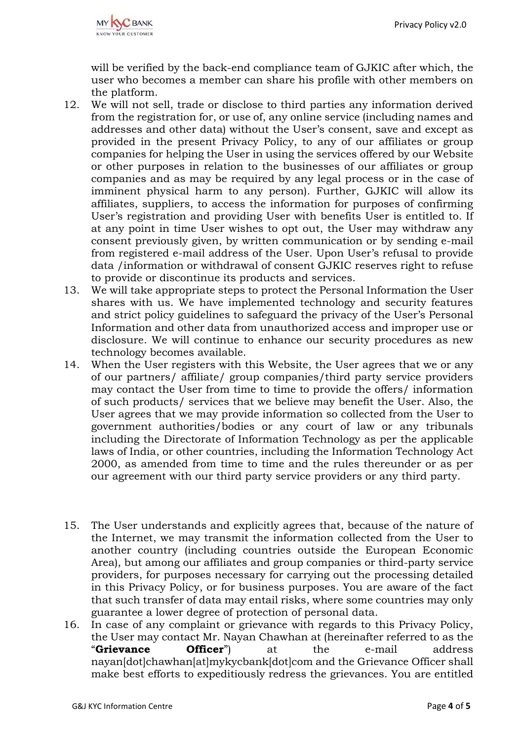will be verified by the back-end compliance team of GJKIC after which, the user who becomes a member can share his profile with other members on the platform.

- 12. We will not sell, trade or disclose to third parties any information derived from the registration for, or use of, any online service (including names and addresses and other data) without the User's consent, save and except as provided in the present Privacy Policy, to any of our affiliates or group companies for helping the User in using the services offered by our Website or other purposes in relation to the businesses of our affiliates or group companies and as may be required by any legal process or in the case of imminent physical harm to any person). Further, GJKIC will allow its affiliates, suppliers, to access the information for purposes of confirming User's registration and providing User with benefits User is entitled to. If at any point in time User wishes to opt out, the User may withdraw any consent previously given, by written communication or by sending e-mail from registered e-mail address of the User. Upon User's refusal to provide data /information or withdrawal of consent GJKIC reserves right to refuse to provide or discontinue its products and services.
- 13. We will take appropriate steps to protect the Personal Information the User shares with us. We have implemented technology and security features and strict policy guidelines to safeguard the privacy of the User's Personal Information and other data from unauthorized access and improper use or disclosure. We will continue to enhance our security procedures as new technology becomes available.
- 14. When the User registers with this Website, the User agrees that we or any of our partners/ affiliate/ group companies/third party service providers may contact the User from time to time to provide the offers/ information of such products/ services that we believe may benefit the User. Also, the User agrees that we may provide information so collected from the User to government authorities/bodies or any court of law or any tribunals including the Directorate of Information Technology as per the applicable laws of India, or other countries, including the Information Technology Act 2000, as amended from time to time and the rules thereunder or as per our agreement with our third party service providers or any third party.
- 15. The User understands and explicitly agrees that, because of the nature of the Internet, we may transmit the information collected from the User to another country (including countries outside the European Economic Area), but among our affiliates and group companies or third-party service providers, for purposes necessary for carrying out the processing detailed in this Privacy Policy, or for business purposes. You are aware of the fact that such transfer of data may entail risks, where some countries may only guarantee a lower degree of protection of personal data.
- 16. In case of any complaint or grievance with regards to this Privacy Policy, the User may contact Mr. Nayan Chawhan at (hereinafter referred to as the "**Grievance Officer**") at the e-mail address nayan[dot]chawhan[at]mykycbank[dot]com and the Grievance Officer shall make best efforts to expeditiously redress the grievances. You are entitled